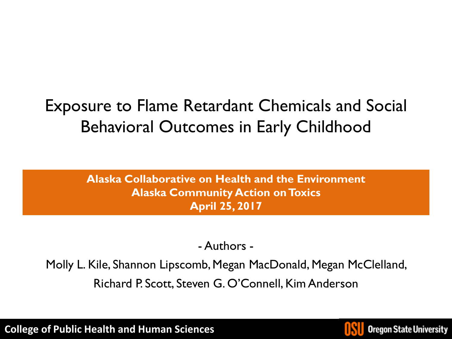### Exposure to Flame Retardant Chemicals and Social Behavioral Outcomes in Early Childhood

**Alaska Collaborative on Health and the Environment Alaska Community Action on Toxics April 25, 2017**

### - Authors -

Molly L. Kile, Shannon Lipscomb, Megan MacDonald, Megan McClelland, Richard P. Scott, Steven G. O'Connell, Kim Anderson

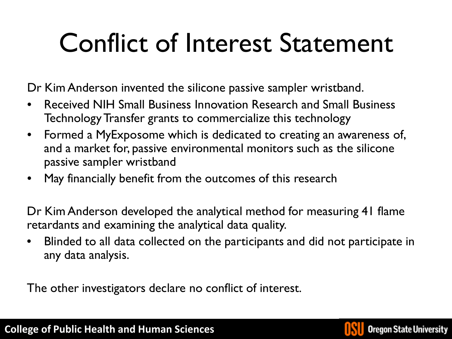## Conflict of Interest Statement

Dr Kim Anderson invented the silicone passive sampler wristband.

- Received NIH Small Business Innovation Research and Small Business Technology Transfer grants to commercialize this technology
- Formed a MyExposome which is dedicated to creating an awareness of, and a market for, passive environmental monitors such as the silicone passive sampler wristband
- May financially benefit from the outcomes of this research

Dr Kim Anderson developed the analytical method for measuring 41 flame retardants and examining the analytical data quality.

• Blinded to all data collected on the participants and did not participate in any data analysis.

The other investigators declare no conflict of interest.

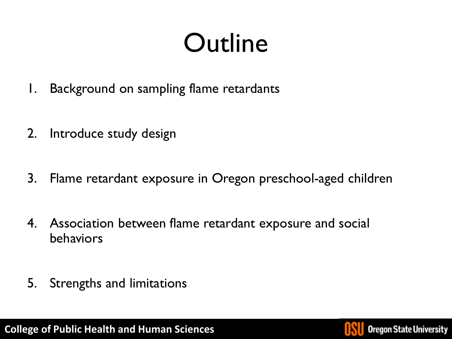## **Outline**

- 1. Background on sampling flame retardants
- 2. Introduce study design
- 3. Flame retardant exposure in Oregon preschool-aged children
- 4. Association between flame retardant exposure and social behaviors
- 5. Strengths and limitations

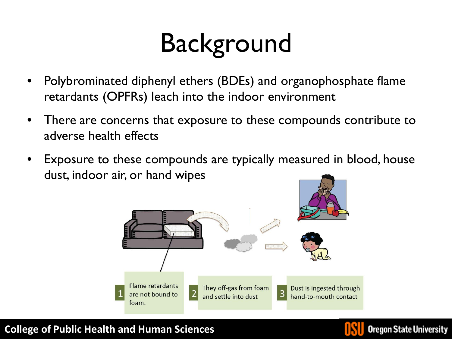## **Background**

- Polybrominated diphenyl ethers (BDEs) and organophosphate flame retardants (OPFRs) leach into the indoor environment
- There are concerns that exposure to these compounds contribute to adverse health effects
- Exposure to these compounds are typically measured in blood, house dust, indoor air, or hand wipes



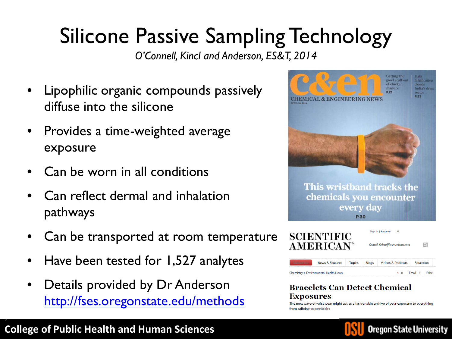## Silicone Passive Sampling Technology

*O'Connell, Kincl and Anderson, ES&T, 2014*

- Lipophilic organic compounds passively diffuse into the silicone
- Provides a time-weighted average exposure
- Can be worn in all conditions
- Can reflect dermal and inhalation pathways
- Can be transported at room temperature
- Have been tested for 1,527 analytes
- Details provided by Dr Anderson <http://fses.oregonstate.edu/methods>





#### **Bracelets Can Detect Chemical** Exposures

The next wave of wrist wear might act as a fashionable archive of your exposure to everything



**College of Public Health and Human Sciences**

5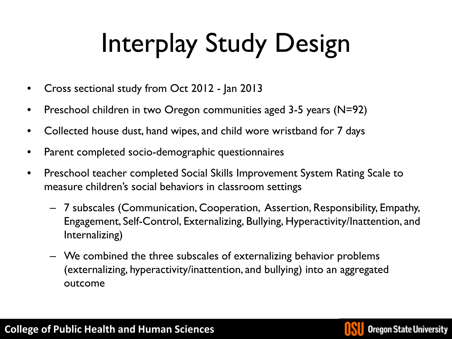# Interplay Study Design

- Cross sectional study from Oct 2012 Jan 2013
- Preschool children in two Oregon communities aged 3-5 years (N=92)
- Collected house dust, hand wipes, and child wore wristband for 7 days
- Parent completed socio-demographic questionnaires
- Preschool teacher completed Social Skills Improvement System Rating Scale to measure children's social behaviors in classroom settings
	- 7 subscales (Communication, Cooperation, Assertion, Responsibility, Empathy, Engagement, Self-Control, Externalizing, Bullying, Hyperactivity/Inattention, and Internalizing)
	- We combined the three subscales of externalizing behavior problems (externalizing, hyperactivity/inattention, and bullying) into an aggregated outcome

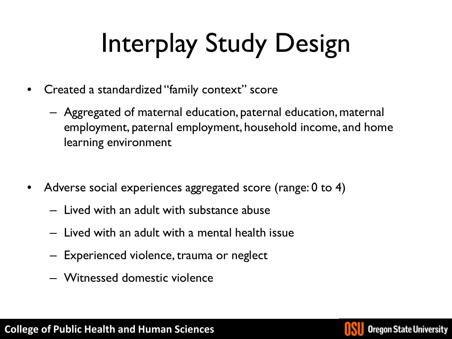# Interplay Study Design

- Created a standardized "family context" score
	- Aggregated of maternal education, paternal education, maternal employment, paternal employment, household income, and home learning environment
- Adverse social experiences aggregated score (range: 0 to 4)
	- Lived with an adult with substance abuse
	- Lived with an adult with a mental health issue
	- Experienced violence, trauma or neglect
	- Witnessed domestic violence

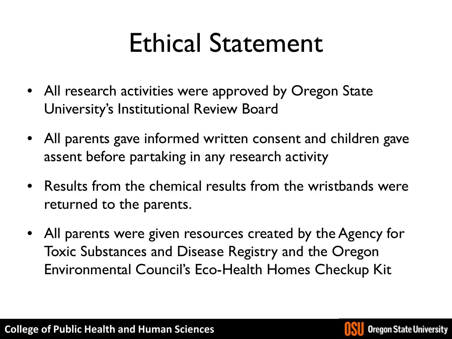## Ethical Statement

- All research activities were approved by Oregon State University's Institutional Review Board
- All parents gave informed written consent and children gave assent before partaking in any research activity
- Results from the chemical results from the wristbands were returned to the parents.
- All parents were given resources created by the Agency for Toxic Substances and Disease Registry and the Oregon Environmental Council's Eco-Health Homes Checkup Kit

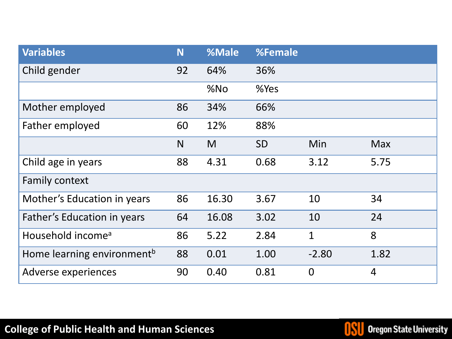| <b>Variables</b>                       | N  | %Male | %Female   |                |                |
|----------------------------------------|----|-------|-----------|----------------|----------------|
| Child gender                           | 92 | 64%   | 36%       |                |                |
|                                        |    | %No   | %Yes      |                |                |
| Mother employed                        | 86 | 34%   | 66%       |                |                |
| Father employed                        | 60 | 12%   | 88%       |                |                |
|                                        | N  | M     | <b>SD</b> | Min            | <b>Max</b>     |
| Child age in years                     | 88 | 4.31  | 0.68      | 3.12           | 5.75           |
| Family context                         |    |       |           |                |                |
| Mother's Education in years            | 86 | 16.30 | 3.67      | 10             | 34             |
| Father's Education in years            | 64 | 16.08 | 3.02      | 10             | 24             |
| Household income <sup>a</sup>          | 86 | 5.22  | 2.84      | $\mathbf{1}$   | 8              |
| Home learning environment <sup>b</sup> | 88 | 0.01  | 1.00      | $-2.80$        | 1.82           |
| Adverse experiences                    | 90 | 0.40  | 0.81      | $\overline{0}$ | $\overline{4}$ |

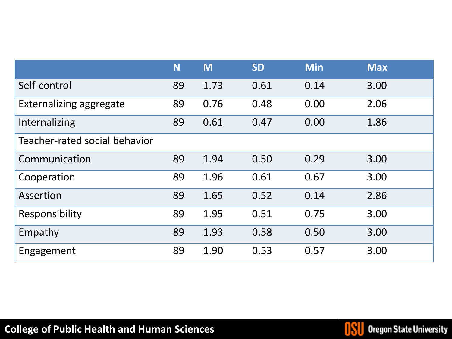|                                | N  | M    | <b>SD</b> | <b>Min</b> | <b>Max</b> |
|--------------------------------|----|------|-----------|------------|------------|
| Self-control                   | 89 | 1.73 | 0.61      | 0.14       | 3.00       |
| <b>Externalizing aggregate</b> | 89 | 0.76 | 0.48      | 0.00       | 2.06       |
| Internalizing                  | 89 | 0.61 | 0.47      | 0.00       | 1.86       |
| Teacher-rated social behavior  |    |      |           |            |            |
| Communication                  | 89 | 1.94 | 0.50      | 0.29       | 3.00       |
| Cooperation                    | 89 | 1.96 | 0.61      | 0.67       | 3.00       |
| Assertion                      | 89 | 1.65 | 0.52      | 0.14       | 2.86       |
| Responsibility                 | 89 | 1.95 | 0.51      | 0.75       | 3.00       |
| Empathy                        | 89 | 1.93 | 0.58      | 0.50       | 3.00       |
| Engagement                     | 89 | 1.90 | 0.53      | 0.57       | 3.00       |

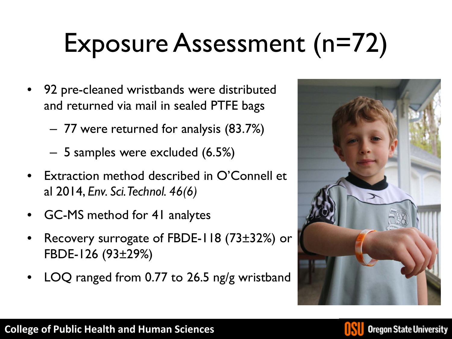## Exposure Assessment (n=72)

- 92 pre-cleaned wristbands were distributed and returned via mail in sealed PTFE bags
	- 77 were returned for analysis (83.7%)
	- 5 samples were excluded (6.5%)
- Extraction method described in O'Connell et al 2014, *Env. Sci. Technol. 46(6)*
- GC-MS method for 41 analytes
- Recovery surrogate of FBDE-118 (73±32%) or FBDE-126 (93±29%)
- LOQ ranged from 0.77 to 26.5 ng/g wristband



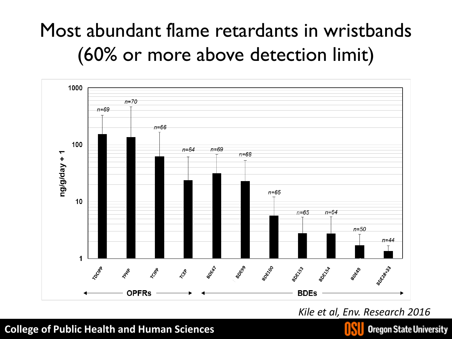### Most abundant flame retardants in wristbands (60% or more above detection limit)



*Kile et al, Env. Research 2016*

#### **College of Public Health and Human Sciences**



**Oregon State University**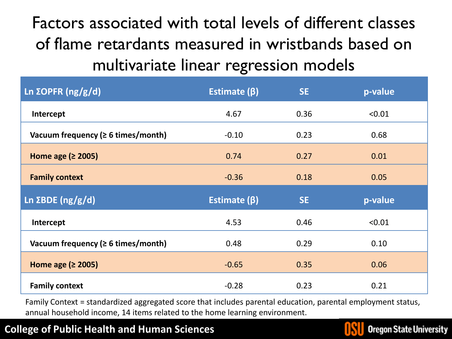Factors associated with total levels of different classes of flame retardants measured in wristbands based on multivariate linear regression models

| Ln $\Sigma$ OPFR (ng/g/d)                | Estimate $(\beta)$ | <b>SE</b> | p-value |
|------------------------------------------|--------------------|-----------|---------|
| Intercept                                | 4.67               | 0.36      | < 0.01  |
| Vacuum frequency ( $\geq 6$ times/month) | $-0.10$            | 0.23      | 0.68    |
| Home age $(2 2005)$                      | 0.74               | 0.27      | 0.01    |
| <b>Family context</b>                    | $-0.36$            | 0.18      | 0.05    |
|                                          |                    |           |         |
| Ln $\Sigma$ BDE (ng/g/d)                 | Estimate $(\beta)$ | <b>SE</b> | p-value |
| Intercept                                | 4.53               | 0.46      | < 0.01  |
| Vacuum frequency ( $\geq 6$ times/month) | 0.48               | 0.29      | 0.10    |
| Home age $(2 2005)$                      | $-0.65$            | 0.35      | 0.06    |

Family Context = standardized aggregated score that includes parental education, parental employment status, annual household income, 14 items related to the home learning environment.

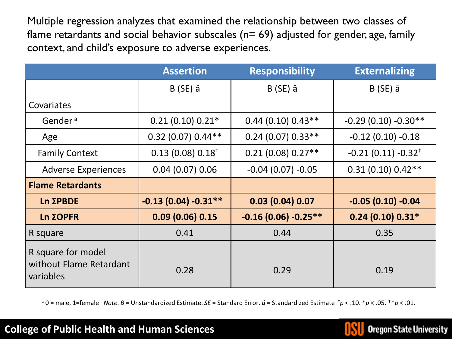Multiple regression analyzes that examined the relationship between two classes of flame retardants and social behavior subscales ( $n= 69$ ) adjusted for gender, age, family context, and child's exposure to adverse experiences.

|                                                            | <b>Assertion</b>              | <b>Responsibility</b> | <b>Externalizing</b>             |
|------------------------------------------------------------|-------------------------------|-----------------------|----------------------------------|
|                                                            | $B(SE)$ â                     | $B(SE)$ â             | $B(SE)$ â                        |
| Covariates                                                 |                               |                       |                                  |
| Gender <sup>a</sup>                                        | $0.21(0.10) 0.21*$            | $0.44(0.10)0.43**$    | $-0.29(0.10) -0.30**$            |
| Age                                                        | $0.32$ (0.07) $0.44**$        | $0.24(0.07)0.33**$    | $-0.12$ (0.10) $-0.18$           |
| <b>Family Context</b>                                      | $0.13(0.08)0.18$ <sup>+</sup> | $0.21(0.08)0.27**$    | $-0.21(0.11) -0.32$ <sup>+</sup> |
| <b>Adverse Experiences</b>                                 | 0.04(0.07)0.06                | $-0.04(0.07) -0.05$   | $0.31(0.10) 0.42**$              |
| <b>Flame Retardants</b>                                    |                               |                       |                                  |
| Ln ΣPBDE                                                   | $-0.13(0.04) -0.31**$         | 0.03(0.04)0.07        | $-0.05(0.10) -0.04$              |
| Ln ΣOPFR                                                   | 0.09(0.06)0.15                | $-0.16(0.06) -0.25**$ | $0.24(0.10) 0.31*$               |
| R square                                                   | 0.41                          | 0.44                  | 0.35                             |
| R square for model<br>without Flame Retardant<br>variables | 0.28                          | 0.29                  | 0.19                             |

a 0 = male, 1=female *Note*. *B* = Unstandardized Estimate. *SE* = Standard Error. *â* = Standardized Estimate †*p* < .10. \**p* < .05. \*\**p* < .01.

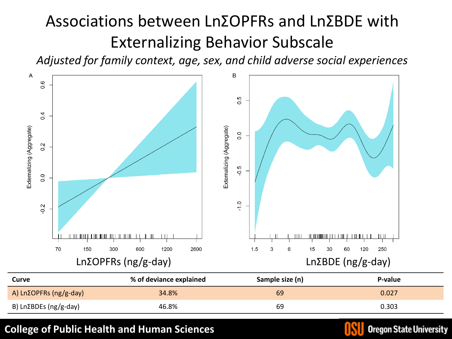### Associations between LnΣOPFRs and LnΣBDE with Externalizing Behavior Subscale

*Adjusted for family context, age, sex, and child adverse social experiences*



| Curve                  | % of deviance explained | Sample size (n) | P-value |
|------------------------|-------------------------|-----------------|---------|
| A) LnΣOPFRs (ng/g-day) | 34.8%                   | 69              | 0.027   |
| B) LnΣBDEs (ng/g-day)  | 46.8%                   | 69              | 0.303   |

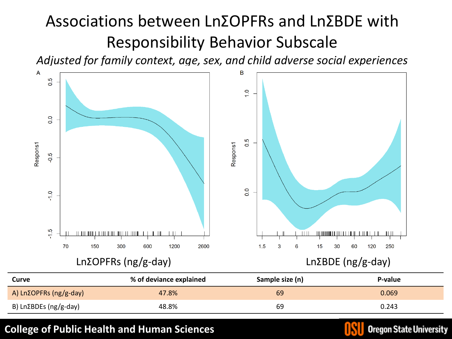### Associations between LnΣOPFRs and LnΣBDE with Responsibility Behavior Subscale

*Adjusted for family context, age, sex, and child adverse social experiences*



| Curve                  | % of deviance explained | Sample size (n) | P-value |
|------------------------|-------------------------|-----------------|---------|
| A) LnΣOPFRs (ng/g-day) | 47.8%                   | 69              | 0.069   |
| B) LnΣBDEs (ng/g-day)  | 48.8%                   | 69              | 0.243   |

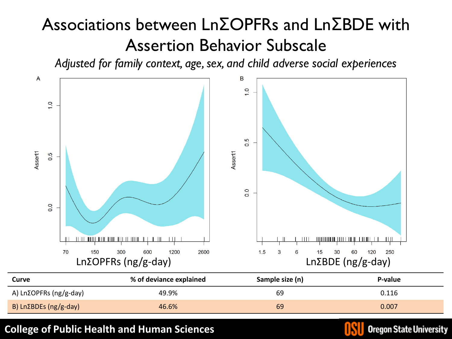### Associations between LnΣOPFRs and LnΣBDE with Assertion Behavior Subscale

*Adjusted for family context, age, sex, and child adverse social experiences*



| Curve                  | % of deviance explained | Sample size (n) | P-value |
|------------------------|-------------------------|-----------------|---------|
| A) LnΣOPFRs (ng/g-day) | 49.9%                   | 69              | 0.116   |
| B) LnΣBDEs (ng/g-day)  | 46.6%                   | 69              | 0.007   |

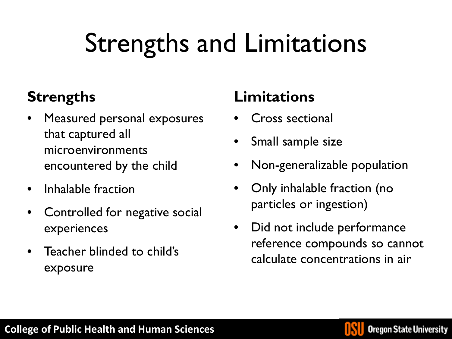## Strengths and Limitations

### **Strengths**

- Measured personal exposures that captured all microenvironments encountered by the child
- Inhalable fraction
- Controlled for negative social experiences
- Teacher blinded to child's exposure

### **Limitations**

- Cross sectional
- Small sample size
- Non-generalizable population
- Only inhalable fraction (no particles or ingestion)
- Did not include performance reference compounds so cannot calculate concentrations in air

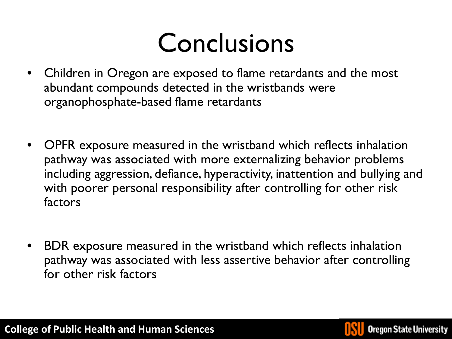## Conclusions

- Children in Oregon are exposed to flame retardants and the most abundant compounds detected in the wristbands were organophosphate-based flame retardants
- OPFR exposure measured in the wristband which reflects inhalation pathway was associated with more externalizing behavior problems including aggression, defiance, hyperactivity, inattention and bullying and with poorer personal responsibility after controlling for other risk factors
- BDR exposure measured in the wristband which reflects inhalation pathway was associated with less assertive behavior after controlling for other risk factors